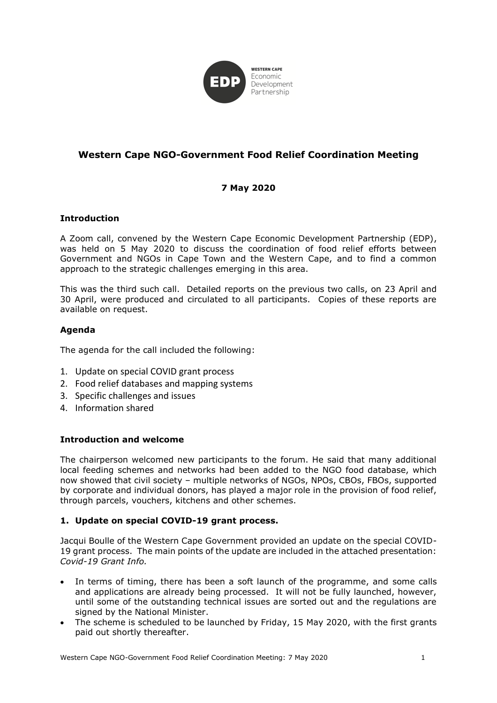

# **Western Cape NGO-Government Food Relief Coordination Meeting**

# **7 May 2020**

#### **Introduction**

A Zoom call, convened by the Western Cape Economic Development Partnership (EDP), was held on 5 May 2020 to discuss the coordination of food relief efforts between Government and NGOs in Cape Town and the Western Cape, and to find a common approach to the strategic challenges emerging in this area.

This was the third such call. Detailed reports on the previous two calls, on 23 April and 30 April, were produced and circulated to all participants. Copies of these reports are available on request.

# **Agenda**

The agenda for the call included the following:

- 1. Update on special COVID grant process
- 2. Food relief databases and mapping systems
- 3. Specific challenges and issues
- 4. Information shared

#### **Introduction and welcome**

The chairperson welcomed new participants to the forum. He said that many additional local feeding schemes and networks had been added to the NGO food database, which now showed that civil society – multiple networks of NGOs, NPOs, CBOs, FBOs, supported by corporate and individual donors, has played a major role in the provision of food relief, through parcels, vouchers, kitchens and other schemes.

#### **1. Update on special COVID-19 grant process.**

Jacqui Boulle of the Western Cape Government provided an update on the special COVID-19 grant process. The main points of the update are included in the attached presentation: *Covid-19 Grant Info.*

- In terms of timing, there has been a soft launch of the programme, and some calls and applications are already being processed. It will not be fully launched, however, until some of the outstanding technical issues are sorted out and the regulations are signed by the National Minister.
- The scheme is scheduled to be launched by Friday, 15 May 2020, with the first grants paid out shortly thereafter.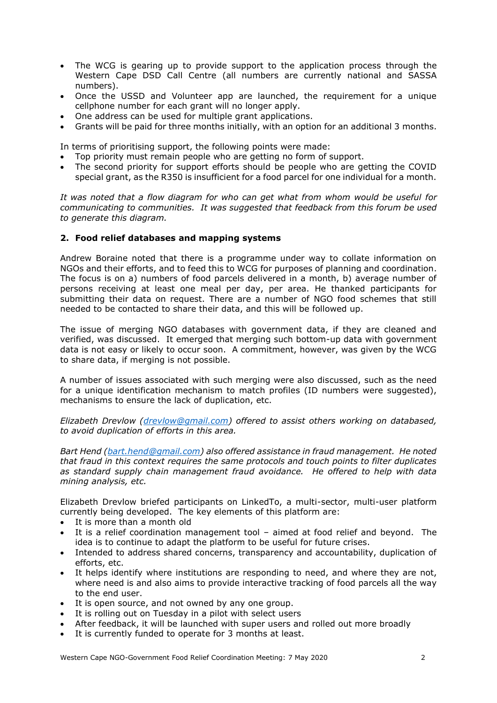- The WCG is gearing up to provide support to the application process through the Western Cape DSD Call Centre (all numbers are currently national and SASSA numbers).
- Once the USSD and Volunteer app are launched, the requirement for a unique cellphone number for each grant will no longer apply.
- One address can be used for multiple grant applications.
- Grants will be paid for three months initially, with an option for an additional 3 months.

In terms of prioritising support, the following points were made:

- Top priority must remain people who are getting no form of support.
- The second priority for support efforts should be people who are getting the COVID special grant, as the R350 is insufficient for a food parcel for one individual for a month.

*It was noted that a flow diagram for who can get what from whom would be useful for communicating to communities. It was suggested that feedback from this forum be used to generate this diagram.*

#### **2. Food relief databases and mapping systems**

Andrew Boraine noted that there is a programme under way to collate information on NGOs and their efforts, and to feed this to WCG for purposes of planning and coordination. The focus is on a) numbers of food parcels delivered in a month, b) average number of persons receiving at least one meal per day, per area. He thanked participants for submitting their data on request. There are a number of NGO food schemes that still needed to be contacted to share their data, and this will be followed up.

The issue of merging NGO databases with government data, if they are cleaned and verified, was discussed. It emerged that merging such bottom-up data with government data is not easy or likely to occur soon. A commitment, however, was given by the WCG to share data, if merging is not possible.

A number of issues associated with such merging were also discussed, such as the need for a unique identification mechanism to match profiles (ID numbers were suggested), mechanisms to ensure the lack of duplication, etc.

*Elizabeth Drevlow [\(drevlow@gmail.com\)](mailto:drevlow@gmail.com) offered to assist others working on databased, to avoid duplication of efforts in this area.*

*Bart Hend [\(bart.hend@gmail.com\)](mailto:bart.hend@gmail.com) also offered assistance in fraud management. He noted that fraud in this context requires the same protocols and touch points to filter duplicates as standard supply chain management fraud avoidance. He offered to help with data mining analysis, etc.*

Elizabeth Drevlow briefed participants on LinkedTo, a multi-sector, multi-user platform currently being developed. The key elements of this platform are:

- It is more than a month old
- It is a relief coordination management tool aimed at food relief and beyond. The idea is to continue to adapt the platform to be useful for future crises.
- Intended to address shared concerns, transparency and accountability, duplication of efforts, etc.
- It helps identify where institutions are responding to need, and where they are not, where need is and also aims to provide interactive tracking of food parcels all the way to the end user.
- It is open source, and not owned by any one group.
- It is rolling out on Tuesday in a pilot with select users
- After feedback, it will be launched with super users and rolled out more broadly
- It is currently funded to operate for 3 months at least.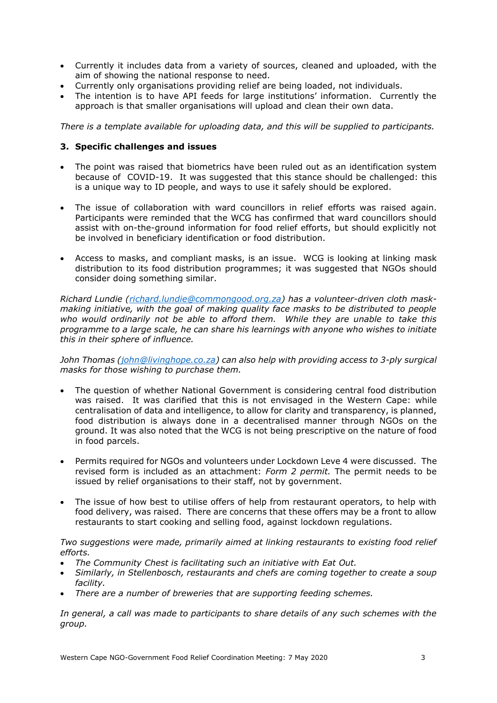- Currently it includes data from a variety of sources, cleaned and uploaded, with the aim of showing the national response to need.
- Currently only organisations providing relief are being loaded, not individuals.
- The intention is to have API feeds for large institutions' information. Currently the approach is that smaller organisations will upload and clean their own data.

*There is a template available for uploading data, and this will be supplied to participants.*

#### **3. Specific challenges and issues**

- The point was raised that biometrics have been ruled out as an identification system because of COVID-19. It was suggested that this stance should be challenged: this is a unique way to ID people, and ways to use it safely should be explored.
- The issue of collaboration with ward councillors in relief efforts was raised again. Participants were reminded that the WCG has confirmed that ward councillors should assist with on-the-ground information for food relief efforts, but should explicitly not be involved in beneficiary identification or food distribution.
- Access to masks, and compliant masks, is an issue. WCG is looking at linking mask distribution to its food distribution programmes; it was suggested that NGOs should consider doing something similar.

*Richard Lundie [\(richard.lundie@commongood.org.za\)](mailto:richard.lundie@commongood.org.za) has a volunteer-driven cloth maskmaking initiative, with the goal of making quality face masks to be distributed to people who would ordinarily not be able to afford them. While they are unable to take this programme to a large scale, he can share his learnings with anyone who wishes to initiate this in their sphere of influence.*

*John Thomas [\(john@livinghope.co.za\)](mailto:john@livinghope.co.za) can also help with providing access to 3-ply surgical masks for those wishing to purchase them.*

- The question of whether National Government is considering central food distribution was raised. It was clarified that this is not envisaged in the Western Cape: while centralisation of data and intelligence, to allow for clarity and transparency, is planned, food distribution is always done in a decentralised manner through NGOs on the ground. It was also noted that the WCG is not being prescriptive on the nature of food in food parcels.
- Permits required for NGOs and volunteers under Lockdown Leve 4 were discussed. The revised form is included as an attachment: *Form 2 permit.* The permit needs to be issued by relief organisations to their staff, not by government.
- The issue of how best to utilise offers of help from restaurant operators, to help with food delivery, was raised. There are concerns that these offers may be a front to allow restaurants to start cooking and selling food, against lockdown regulations.

*Two suggestions were made, primarily aimed at linking restaurants to existing food relief efforts.*

- *The Community Chest is facilitating such an initiative with Eat Out.*
- *Similarly, in Stellenbosch, restaurants and chefs are coming together to create a soup facility.*
- *There are a number of breweries that are supporting feeding schemes.*

*In general, a call was made to participants to share details of any such schemes with the group.*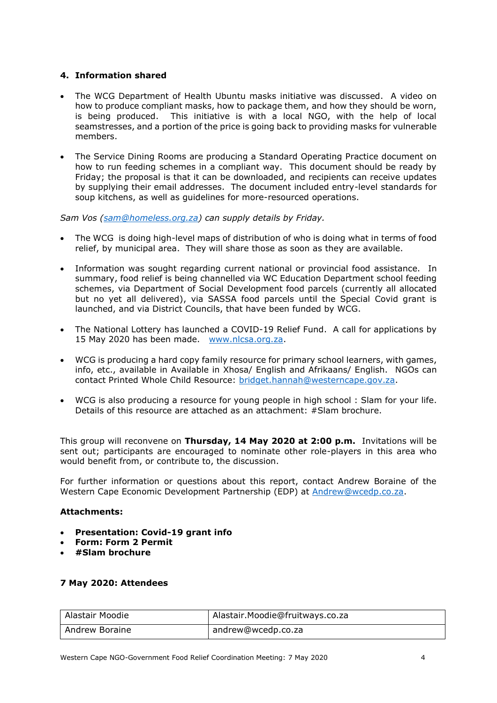# **4. Information shared**

- The WCG Department of Health Ubuntu masks initiative was discussed. A video on how to produce compliant masks, how to package them, and how they should be worn, is being produced. This initiative is with a local NGO, with the help of local seamstresses, and a portion of the price is going back to providing masks for vulnerable members.
- The Service Dining Rooms are producing a Standard Operating Practice document on how to run feeding schemes in a compliant way. This document should be ready by Friday; the proposal is that it can be downloaded, and recipients can receive updates by supplying their email addresses. The document included entry-level standards for soup kitchens, as well as guidelines for more-resourced operations.

*Sam Vos [\(sam@homeless.org.za\)](mailto:sam@homeless.org.za) can supply details by Friday.*

- The WCG is doing high-level maps of distribution of who is doing what in terms of food relief, by municipal area. They will share those as soon as they are available.
- Information was sought regarding current national or provincial food assistance. In summary, food relief is being channelled via WC Education Department school feeding schemes, via Department of Social Development food parcels (currently all allocated but no yet all delivered), via SASSA food parcels until the Special Covid grant is launched, and via District Councils, that have been funded by WCG.
- The National Lottery has launched a COVID-19 Relief Fund. A call for applications by 15 May 2020 has been made. [www.nlcsa.org.za.](http://www.nlcsa.org.za/)
- WCG is producing a hard copy family resource for primary school learners, with games, info, etc., available in Available in Xhosa/ English and Afrikaans/ English. NGOs can contact Printed Whole Child Resource: [bridget.hannah@westerncape.gov.za.](mailto:bridget.hannah@westerncape.gov.za)
- WCG is also producing a resource for young people in high school : Slam for your life. Details of this resource are attached as an attachment: #Slam brochure.

This group will reconvene on **Thursday, 14 May 2020 at 2:00 p.m.** Invitations will be sent out; participants are encouraged to nominate other role-players in this area who would benefit from, or contribute to, the discussion.

For further information or questions about this report, contact Andrew Boraine of the Western Cape Economic Development Partnership (EDP) at [Andrew@wcedp.co.za.](mailto:Andrew@wcedp.co.za)

# **Attachments:**

- **Presentation: Covid-19 grant info**
- **Form: Form 2 Permit**
- **#Slam brochure**

#### **7 May 2020: Attendees**

| l Alastair Moodie | Alastair.Moodie@fruitways.co.za |
|-------------------|---------------------------------|
| Andrew Boraine    | andrew@wcedp.co.za              |